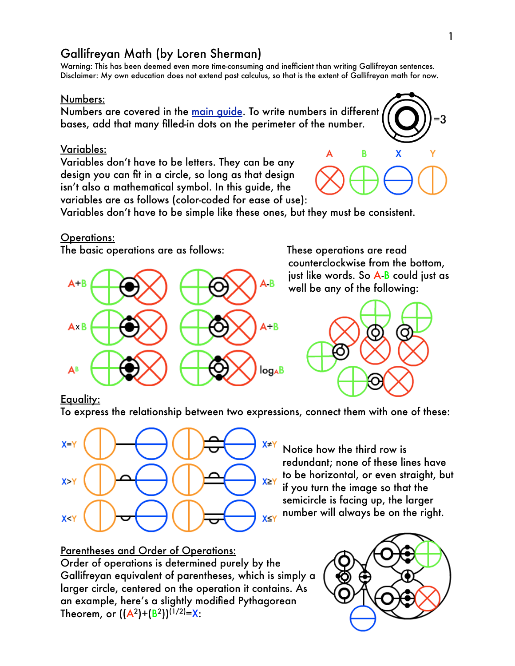# Gallifreyan Math (by Loren Sherman)

Warning: This has been deemed even more time-consuming and inefficient than writing Gallifreyan sentences. Disclaimer: My own education does not extend past calculus, so that is the extent of Gallifreyan math for now.

#### Numbers:

Numbers are covered in the [main guide](http://www.shermansplanet.com/storage/Gallifreyan.pdf). To write numbers in different bases, add that many filled-in dots on the perimeter of the number.

### Variables:

Variables don't have to be letters. They can be any design you can fit in a circle, so long as that design isn't also a mathematical symbol. In this guide, the variables are as follows (color-coded for ease of use):



Variables don't have to be simple like these ones, but they must be consistent.

#### Operations:

The basic operations are as follows: These operations are read



counterclockwise from the bottom, just like words. So A-B could just as well be any of the following:



### Equality:

To express the relationship between two expressions, connect them with one of these:



Notice how the third row is redundant; none of these lines have to be horizontal, or even straight, but if you turn the image so that the semicircle is facing up, the larger number will always be on the right.

# Parentheses and Order of Operations: Order of operations is determined purely by the Gallifreyan equivalent of parentheses, which is simply a larger circle, centered on the operation it contains. As an example, here's a slightly modified Pythagorean Theorem, or  $((A<sup>2</sup>)+(B<sup>2</sup>))<sup>(1/2)</sup>=X$ :

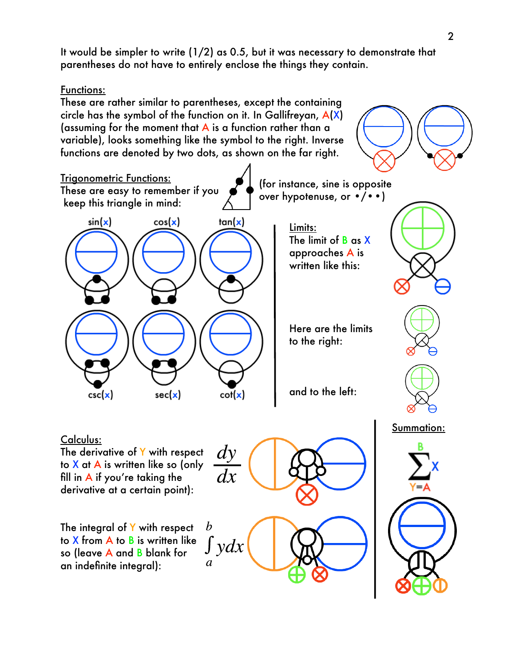It would be simpler to write (1/2) as 0.5, but it was necessary to demonstrate that parentheses do not have to entirely enclose the things they contain.

Functions: